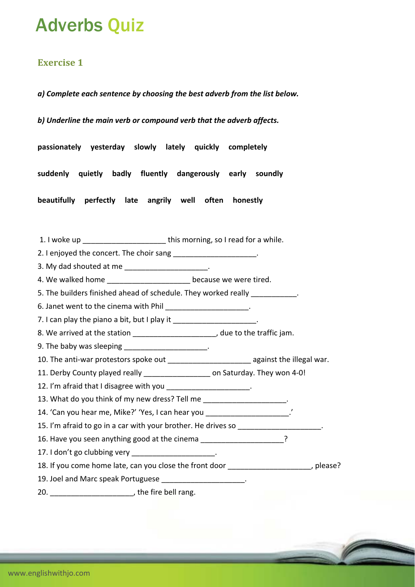# Adverbs Quiz

### **Exercise 1**

*a) Complete each sentence by choosing the best adverb from the list below.*

*b) Underline the main verb or compound verb that the adverb affects.*

**passionately yesterday slowly lately quickly completely**

**suddenly quietly badly fluently dangerously early soundly**

**beautifully perfectly late angrily well often honestly**

1. I woke up **this morning, so I read for a while.** 

2. I enjoyed the concert. The choir sang

3. My dad shouted at me \_\_\_\_\_\_\_\_\_\_\_\_\_\_\_\_\_\_\_\_\_.

4. We walked home example and the because we were tired.

5. The builders finished ahead of schedule. They worked really \_\_\_\_\_\_\_\_\_\_\_.

6. Janet went to the cinema with Phil **Example 20** Fig.

7. I can play the piano a bit, but I play it  $\blacksquare$ 

8. We arrived at the station  $\qquad \qquad$  , due to the traffic jam.

9. The baby was sleeping \_\_\_\_\_\_\_\_\_\_

10. The anti-war protestors spoke out \_\_\_\_\_\_\_\_\_\_\_\_\_\_\_\_\_\_\_\_\_\_\_\_ against the illegal war.

11. Derby County played really **the county on Saturday. They won 4-0!** 

12. I'm afraid that I disagree with you

13. What do you think of my new dress? Tell me

14. 'Can you hear me, Mike?' 'Yes, I can hear you \_\_\_\_\_\_\_\_\_\_\_\_\_\_\_\_\_\_\_\_.'

15. I'm afraid to go in a car with your brother. He drives so \_\_\_\_\_\_\_\_\_\_\_\_\_\_\_\_\_\_

16. Have you seen anything good at the cinema

17. I don't go clubbing very \_\_\_\_\_\_\_\_\_\_\_\_\_\_\_\_\_\_\_\_.

18. If you come home late, can you close the front door  $\qquad \qquad$ , please?

19. Joel and Marc speak Portuguese

20.  $\blacksquare$  , the fire bell rang.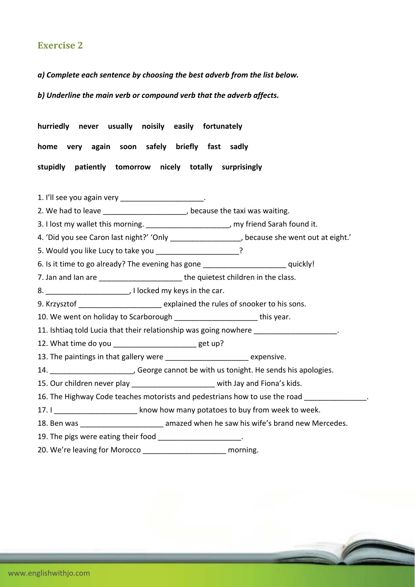#### **Exercise 2**

*a) Complete each sentence by choosing the best adverb from the list below.*

*b) Underline the main verb or compound verb that the adverb affects.*

**hurriedly never usually noisily easily fortunately home very again soon safely briefly fast sadly stupidly patiently tomorrow nicely totally surprisingly**

1. I'll see you again very \_\_\_\_\_\_\_\_\_\_\_\_\_\_\_\_\_\_\_\_\_\_.

2. We had to leave **Exercise 2.** We had to leave **the taxi was waiting.** 

3. I lost my wallet this morning. \_\_\_\_\_\_\_\_\_\_\_\_\_\_\_\_\_\_\_\_, my friend Sarah found it.

4. 'Did you see Caron last night?' 'Only \_\_\_\_\_\_\_\_\_\_\_\_\_\_\_\_\_\_, because she went out at eight.'

5. Would you like Lucy to take you \_\_\_\_\_\_\_\_\_\_\_\_\_\_\_\_\_\_\_\_\_\_\_?

6. Is it time to go already? The evening has gone example and the squickly!

7. Jan and Ian are **The Election Control** the quietest children in the class.

8. \_\_\_\_\_\_\_\_\_\_\_\_\_\_\_\_\_\_\_\_\_\_, I locked my keys in the car.

9. Krzysztof \_\_\_\_\_\_\_\_\_\_\_\_\_\_\_\_\_\_\_\_ explained the rules of snooker to his sons.

10. We went on holiday to Scarborough **this year.** This year.

11. Ishtiaq told Lucia that their relationship was going nowhere \_\_\_\_\_\_\_\_\_\_\_\_\_\_\_\_

12. What time do you example a set up?

13. The paintings in that gallery were \_\_\_\_\_\_\_\_\_\_\_\_\_\_\_\_\_\_\_\_\_\_\_ expensive.

14. **14.** Seorge cannot be with us tonight. He sends his apologies.

15. Our children never play \_\_\_\_\_\_\_\_\_\_\_\_\_\_\_\_\_\_\_\_\_\_\_ with Jay and Fiona's kids.

16. The Highway Code teaches motorists and pedestrians how to use the road

17. I **I** know how many potatoes to buy from week to week.

18. Ben was **18. In the same same amazed when he saw his wife's brand new Mercedes.** 

19. The pigs were eating their food \_\_\_\_\_\_\_\_\_\_\_\_\_\_\_\_\_\_\_\_\_.

20. We're leaving for Morocco \_\_\_\_\_\_\_\_\_\_\_\_\_\_\_\_\_\_\_\_\_\_\_ morning.